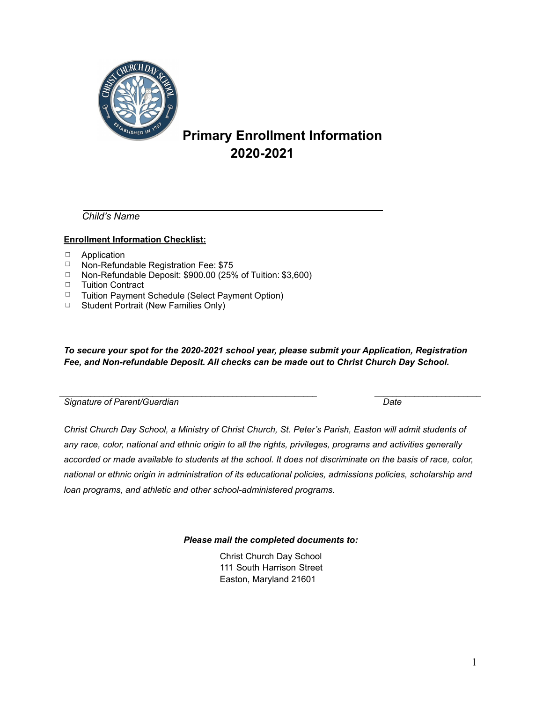

## **Primary Enrollment Information 2020-2021**

*Child's Name* 

#### **Enrollment Information Checklist:**

- 䡦 Application
- 䡦 Non-Refundable Registration Fee: \$75
- 䡦 Non-Refundable Deposit: \$900.00 (25% of Tuition: \$3,600)
- 䡦 Tuition Contract
- 䡦 Tuition Payment Schedule (Select Payment Option)
- $\Box$  Student Portrait (New Families Only)

*To secure your spot for the 2020-2021 school year, please submit your Application, Registration Fee, and Non-refundable Deposit. All checks can be made out to Christ Church Day School.* 

 $\_$  , and the set of the set of the set of the set of the set of the set of the set of the set of the set of the set of the set of the set of the set of the set of the set of the set of the set of the set of the set of th

| Date |
|------|
|      |

*Christ Church Day School, a Ministry of Christ Church, St. Peter's Parish, Easton will admit students of any race, color, national and ethnic origin to all the rights, privileges, programs and activities generally accorded or made available to students at the school. It does not discriminate on the basis of race, color, national or ethnic origin in administration of its educational policies, admissions policies, scholarship and loan programs, and athletic and other school-administered programs.* 

*Please mail the completed documents to:* 

Christ Church Day School 111 South Harrison Street Easton, Maryland 21601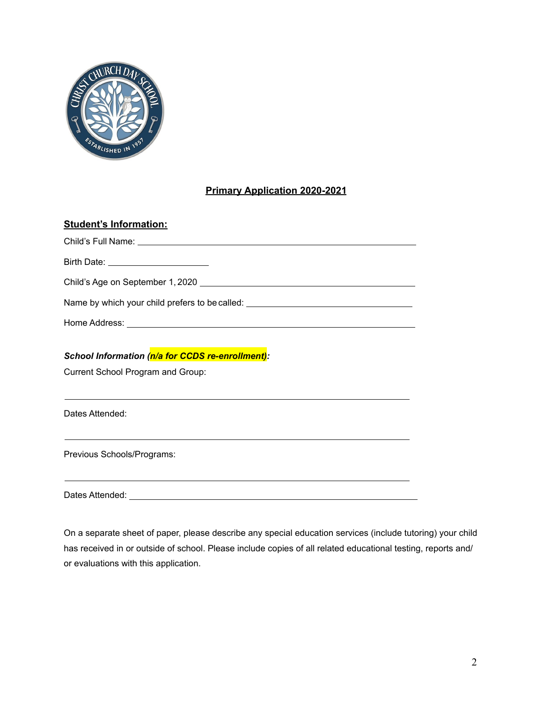

## **Primary Application 2020-2021**

| <b>Student's Information:</b>                                                    |
|----------------------------------------------------------------------------------|
|                                                                                  |
| Birth Date: _______________________                                              |
|                                                                                  |
|                                                                                  |
|                                                                                  |
| School Information (n/a for CCDS re-enrollment):                                 |
| Current School Program and Group:                                                |
| ,我们也不会有什么。""我们的人,我们也不会有什么?""我们的人,我们也不会有什么?""我们的人,我们也不会有什么?""我们的人,我们也不会有什么?""我们的人 |
| Dates Attended:                                                                  |
|                                                                                  |
| Previous Schools/Programs:                                                       |
|                                                                                  |

Dates Attended:

On a separate sheet of paper, please describe any special education services (include tutoring) your child has received in or outside of school. Please include copies of all related educational testing, reports and/ or evaluations with this application.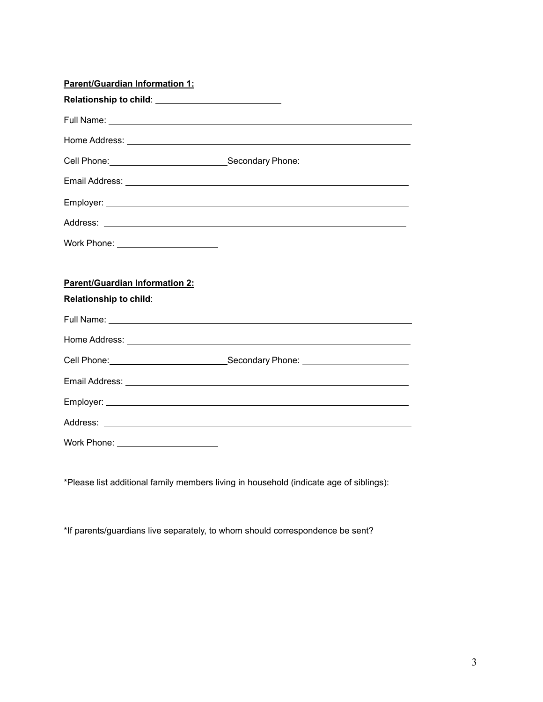| <b>Parent/Guardian Information 1:</b> |                                                                                                                                                                                                                                     |
|---------------------------------------|-------------------------------------------------------------------------------------------------------------------------------------------------------------------------------------------------------------------------------------|
|                                       |                                                                                                                                                                                                                                     |
|                                       |                                                                                                                                                                                                                                     |
|                                       |                                                                                                                                                                                                                                     |
|                                       | Cell Phone: <u>Call Phone:</u> Cell Phone: Cell Phone: Cell Phone: Cell Phone: Compared Phone: Compared Phone: Compared Phone: Compared Phone: Compared Phone: Compared Phone: Compared Phone: Compared Phone: Compared Phone: Comp |
|                                       |                                                                                                                                                                                                                                     |
|                                       |                                                                                                                                                                                                                                     |
|                                       |                                                                                                                                                                                                                                     |
| Work Phone: _______________________   |                                                                                                                                                                                                                                     |
|                                       |                                                                                                                                                                                                                                     |
| <b>Parent/Guardian Information 2:</b> |                                                                                                                                                                                                                                     |
|                                       |                                                                                                                                                                                                                                     |
|                                       |                                                                                                                                                                                                                                     |
|                                       |                                                                                                                                                                                                                                     |
|                                       | Cell Phone: ________________________________Secondary Phone: ___________________                                                                                                                                                    |
|                                       |                                                                                                                                                                                                                                     |
|                                       |                                                                                                                                                                                                                                     |
|                                       |                                                                                                                                                                                                                                     |
| Work Phone: ________________________  |                                                                                                                                                                                                                                     |

\*Please list additional family members living in household (indicate age of siblings):

\*If parents/guardians live separately, to whom should correspondence be sent?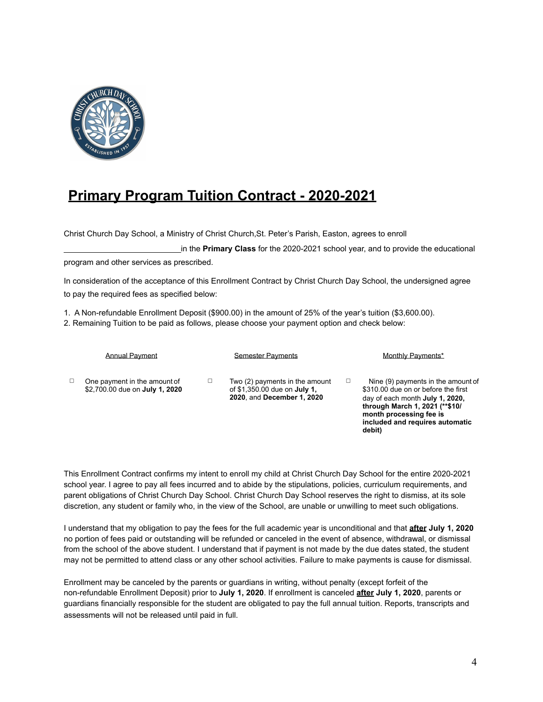

# **Primary Program Tuition Contract - 2020-2021**

Christ Church Day School, a Ministry of Christ Church,St. Peter's Parish, Easton, agrees to enroll

 in the **Primary Class** for the 2020-2021 school year, and to provide the educational program and other services as prescribed.

In consideration of the acceptance of this Enrollment Contract by Christ Church Day School, the undersigned agree to pay the required fees as specified below:

1. A Non-refundable Enrollment Deposit (\$900.00) in the amount of 25% of the year's tuition (\$3,600.00).

2. Remaining Tuition to be paid as follows, please choose your payment option and check below:

|   | <b>Annual Payment</b>                                          | <b>Semester Payments</b>                                                                            |   | Monthly Payments*                                                                                                                                                                                                       |
|---|----------------------------------------------------------------|-----------------------------------------------------------------------------------------------------|---|-------------------------------------------------------------------------------------------------------------------------------------------------------------------------------------------------------------------------|
| □ | One payment in the amount of<br>\$2,700.00 due on July 1, 2020 | Two (2) payments in the amount<br>of \$1,350.00 due on <b>July 1.</b><br>2020, and December 1, 2020 | □ | Nine (9) payments in the amount of<br>\$310.00 due on or before the first<br>day of each month July 1, 2020,<br>through March 1, 2021 (** \$10/<br>month processing fee is<br>included and requires automatic<br>debit) |

This Enrollment Contract confirms my intent to enroll my child at Christ Church Day School for the entire 2020-2021 school year. I agree to pay all fees incurred and to abide by the stipulations, policies, curriculum requirements, and parent obligations of Christ Church Day School. Christ Church Day School reserves the right to dismiss, at its sole discretion, any student or family who, in the view of the School, are unable or unwilling to meet such obligations.

I understand that my obligation to pay the fees for the full academic year is unconditional and that **after July 1, 2020**  no portion of fees paid or outstanding will be refunded or canceled in the event of absence, withdrawal, or dismissal from the school of the above student. I understand that if payment is not made by the due dates stated, the student may not be permitted to attend class or any other school activities. Failure to make payments is cause for dismissal.

Enrollment may be canceled by the parents or guardians in writing, without penalty (except forfeit of the non-refundable Enrollment Deposit) prior to **July 1, 2020**. If enrollment is canceled **after July 1, 2020**, parents or guardians financially responsible for the student are obligated to pay the full annual tuition. Reports, transcripts and assessments will not be released until paid in full.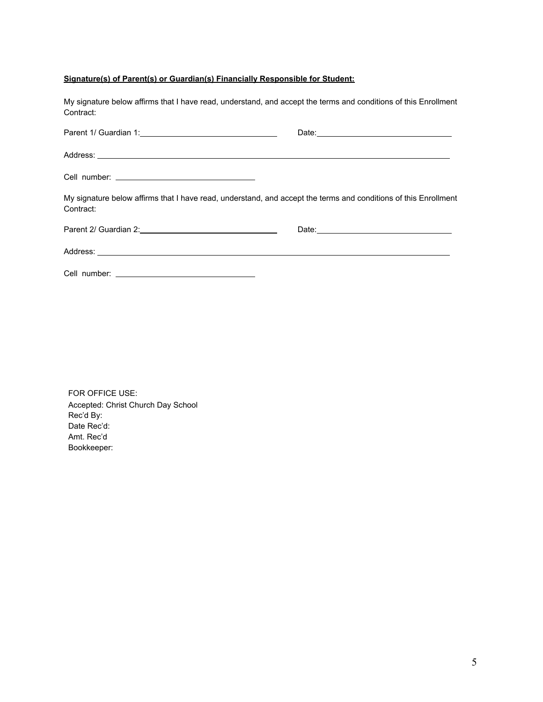### **Signature(s) of Parent(s) or Guardian(s) Financially Responsible for Student:**

| My signature below affirms that I have read, understand, and accept the terms and conditions of this Enrollment<br>Contract:                                                                                                        |  |
|-------------------------------------------------------------------------------------------------------------------------------------------------------------------------------------------------------------------------------------|--|
|                                                                                                                                                                                                                                     |  |
| Address: <u>Address:</u> Address: Address: Address: Address: Address: Address: Address: Address: Address: Address: Address: Address: Address: Address: Address: Address: Address: Address: Address: Address: Address: Address: Addr |  |
|                                                                                                                                                                                                                                     |  |
| My signature below affirms that I have read, understand, and accept the terms and conditions of this Enrollment<br>Contract:                                                                                                        |  |
|                                                                                                                                                                                                                                     |  |
| Address: <u>New York: Address:</u> New York: New York: New York: New York: New York: New York: New York: New York: New York: New York: New York: New York: New York: New York: New York: New York: New York: New York: New York: Ne |  |
|                                                                                                                                                                                                                                     |  |

FOR OFFICE USE: Accepted: Christ Church Day School Rec'd By: Date Rec'd: Amt. Rec'd Bookkeeper: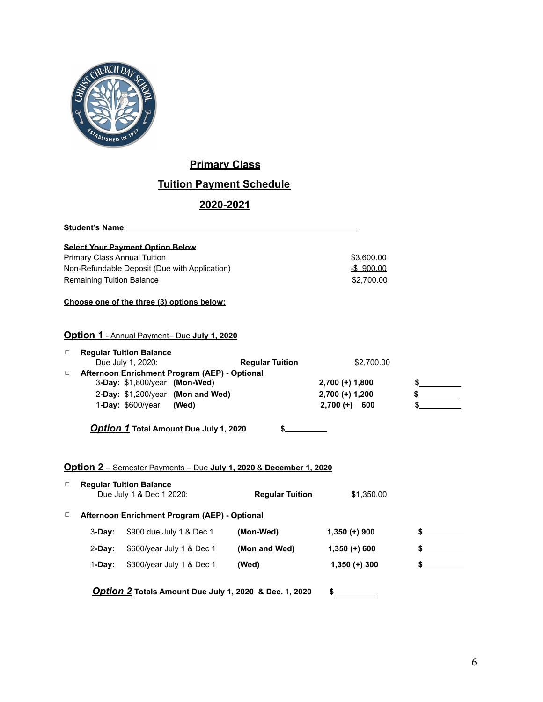

## **Primary Class**

## **Tuition Payment Schedule**

## **2020-2021**

Student's Name: Name: Name and Name and Name and Name and Name and Name and Name and Name and Name and Name and N<br>Name and Name and Name and Name and Name and Name and Name and Name and Name and Name and Name and Name and

#### **Select Your Payment Option Below**

| Primary Class Annual Tuition                  | \$3.600.00 |
|-----------------------------------------------|------------|
| Non-Refundable Deposit (Due with Application) | -\$900.00  |
| Remaining Tuition Balance                     | \$2.700.00 |

#### **Choose one of the three (3) options below:**

#### **Option 1** - Annual Payment– Due **July 1, 2020**

| Due July 1, 2020:  | <b>Regular Tuition</b> | \$2,700.00                                                                                                                                            |  |
|--------------------|------------------------|-------------------------------------------------------------------------------------------------------------------------------------------------------|--|
|                    |                        |                                                                                                                                                       |  |
|                    |                        | $2,700 (+) 1,800$                                                                                                                                     |  |
|                    |                        | $2,700 (+) 1,200$                                                                                                                                     |  |
| 1-Day: $$600/year$ | (Wed)                  | $2.700 (+)$<br>600                                                                                                                                    |  |
|                    |                        | <b>Regular Tuition Balance</b><br>Afternoon Enrichment Program (AEP) - Optional<br>3-Day: \$1,800/year (Mon-Wed)<br>2-Day: \$1,200/year (Mon and Wed) |  |

*Option 1* **Total Amount Due July 1, 2020 \$**

#### **Option 2** – Semester Payments – Due **July 1, 2020** & **December 1, 2020**

|   |           | <b>Regular Tuition Balance</b><br>Due July 1 & Dec 1 2020: | <b>Regular Tuition</b> | \$1,350.00      |  |
|---|-----------|------------------------------------------------------------|------------------------|-----------------|--|
| □ |           | Afternoon Enrichment Program (AEP) - Optional              |                        |                 |  |
|   | $3-Dav:$  | \$900 due July 1 & Dec 1                                   | (Mon-Wed)              | $1,350 (+) 900$ |  |
|   | $2$ -Day: | \$600/year July 1 & Dec 1                                  | (Mon and Wed)          | $1,350 (+) 600$ |  |
|   | 1-Day:    | \$300/year July 1 & Dec 1                                  | (Wed)                  | $1,350 (+) 300$ |  |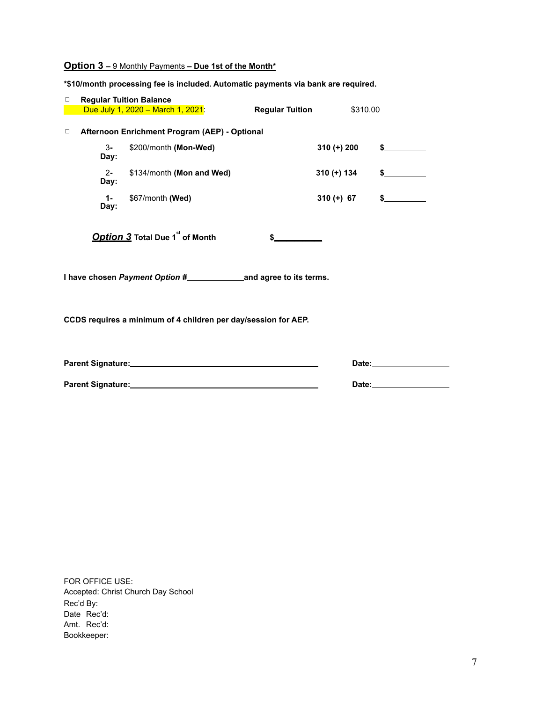### **Option 3 –** 9 Monthly Payments **– Due 1st of the Month\***

**\*\$10/month processing fee is included. Automatic payments via bank are required.** 

| $\Box$                                                         |               | <b>Regular Tuition Balance</b>                |                        |                                                                                                                                                                                                                                |
|----------------------------------------------------------------|---------------|-----------------------------------------------|------------------------|--------------------------------------------------------------------------------------------------------------------------------------------------------------------------------------------------------------------------------|
|                                                                |               | Due July 1, 2020 - March 1, 2021:             | <b>Regular Tuition</b> | \$310.00                                                                                                                                                                                                                       |
|                                                                |               |                                               |                        |                                                                                                                                                                                                                                |
| $\Box$                                                         |               | Afternoon Enrichment Program (AEP) - Optional |                        |                                                                                                                                                                                                                                |
|                                                                | $3-$<br>Day:  | \$200/month (Mon-Wed)                         | $310 (+) 200$          | $\sim$                                                                                                                                                                                                                         |
|                                                                | $2 -$<br>Day: | \$134/month (Mon and Wed)                     | 310 (+) 134            | $\sim$                                                                                                                                                                                                                         |
|                                                                | $1 -$<br>Day: | \$67/month (Wed)                              | $310 (+) 67$           | $\frac{1}{2}$                                                                                                                                                                                                                  |
|                                                                |               | Option 3 Total Due 1 <sup>st</sup> of Month   |                        |                                                                                                                                                                                                                                |
|                                                                |               |                                               |                        |                                                                                                                                                                                                                                |
| CCDS requires a minimum of 4 children per day/session for AEP. |               |                                               |                        |                                                                                                                                                                                                                                |
|                                                                |               |                                               |                        | Date: the contract of the contract of the contract of the contract of the contract of the contract of the contract of the contract of the contract of the contract of the contract of the contract of the contract of the cont |

**Parent Signature: Date:**

FOR OFFICE USE: Accepted: Christ Church Day School Rec'd By: Date Rec'd: Amt. Rec'd: Bookkeeper: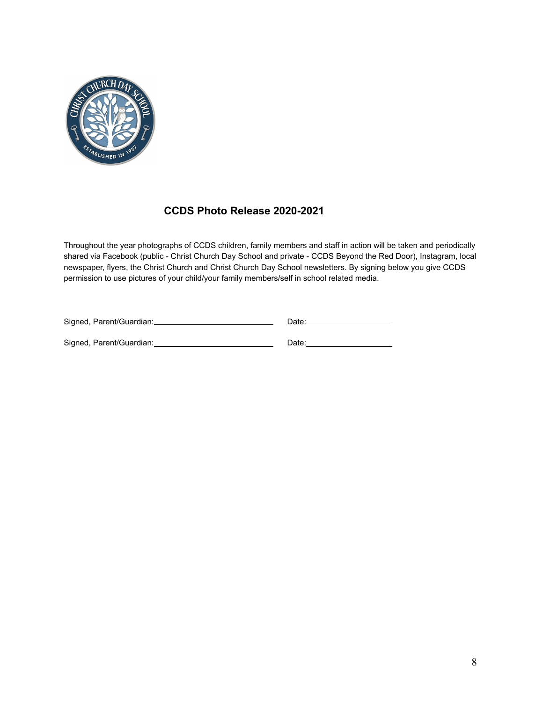

## **CCDS Photo Release 2020-2021**

Throughout the year photographs of CCDS children, family members and staff in action will be taken and periodically shared via Facebook (public - Christ Church Day School and private - CCDS Beyond the Red Door), Instagram, local newspaper, flyers, the Christ Church and Christ Church Day School newsletters. By signing below you give CCDS permission to use pictures of your child/your family members/self in school related media.

| Signed, Parent/Guardian: |  | Date: |
|--------------------------|--|-------|
|--------------------------|--|-------|

Signed, Parent/Guardian: Date: Date: Date: Date: